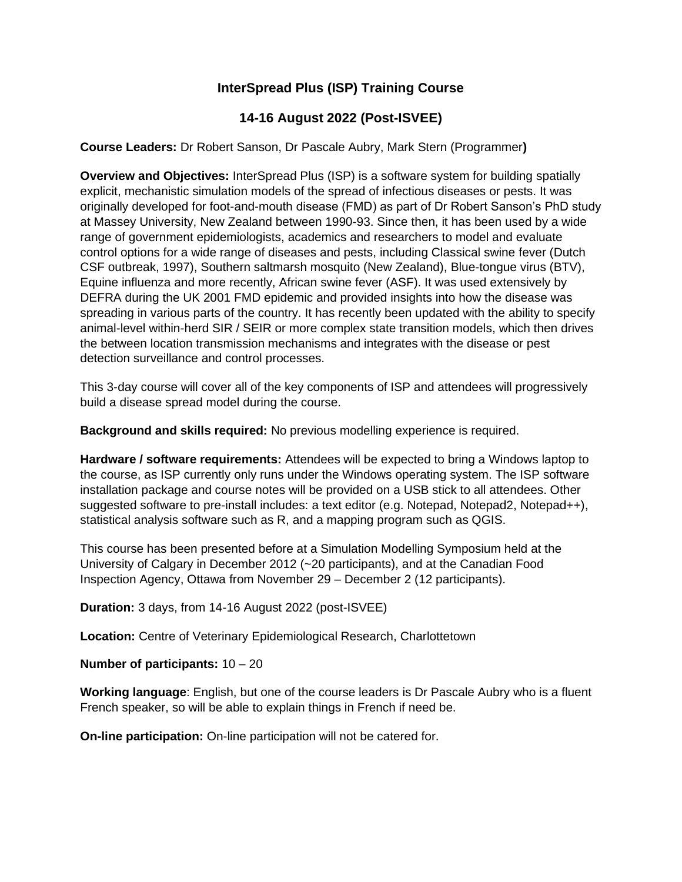## **InterSpread Plus (ISP) Training Course**

## **14-16 August 2022 (Post-ISVEE)**

**Course Leaders:** Dr Robert Sanson, Dr Pascale Aubry, Mark Stern (Programmer**)**

**Overview and Objectives:** InterSpread Plus (ISP) is a software system for building spatially explicit, mechanistic simulation models of the spread of infectious diseases or pests. It was originally developed for foot-and-mouth disease (FMD) as part of Dr Robert Sanson's PhD study at Massey University, New Zealand between 1990-93. Since then, it has been used by a wide range of government epidemiologists, academics and researchers to model and evaluate control options for a wide range of diseases and pests, including Classical swine fever (Dutch CSF outbreak, 1997), Southern saltmarsh mosquito (New Zealand), Blue-tongue virus (BTV), Equine influenza and more recently, African swine fever (ASF). It was used extensively by DEFRA during the UK 2001 FMD epidemic and provided insights into how the disease was spreading in various parts of the country. It has recently been updated with the ability to specify animal-level within-herd SIR / SEIR or more complex state transition models, which then drives the between location transmission mechanisms and integrates with the disease or pest detection surveillance and control processes.

This 3-day course will cover all of the key components of ISP and attendees will progressively build a disease spread model during the course.

**Background and skills required:** No previous modelling experience is required.

**Hardware / software requirements:** Attendees will be expected to bring a Windows laptop to the course, as ISP currently only runs under the Windows operating system. The ISP software installation package and course notes will be provided on a USB stick to all attendees. Other suggested software to pre-install includes: a text editor (e.g. Notepad, Notepad2, Notepad++), statistical analysis software such as R, and a mapping program such as QGIS.

This course has been presented before at a Simulation Modelling Symposium held at the University of Calgary in December 2012 (~20 participants), and at the Canadian Food Inspection Agency, Ottawa from November 29 – December 2 (12 participants).

**Duration:** 3 days, from 14-16 August 2022 (post-ISVEE)

**Location:** Centre of Veterinary Epidemiological Research, Charlottetown

**Number of participants:** 10 – 20

**Working language**: English, but one of the course leaders is Dr Pascale Aubry who is a fluent French speaker, so will be able to explain things in French if need be.

**On-line participation:** On-line participation will not be catered for.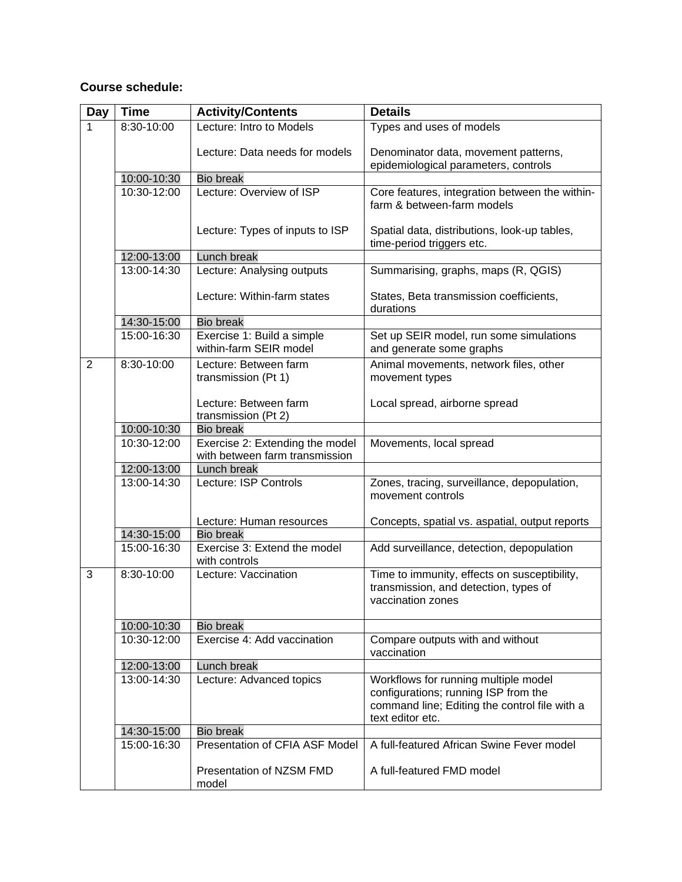## **Course schedule:**

| <b>Day</b>     | <b>Time</b> | <b>Activity/Contents</b>                                          | <b>Details</b>                                                                                                                                    |
|----------------|-------------|-------------------------------------------------------------------|---------------------------------------------------------------------------------------------------------------------------------------------------|
| 1              | 8:30-10:00  | Lecture: Intro to Models                                          | Types and uses of models                                                                                                                          |
|                |             | Lecture: Data needs for models                                    | Denominator data, movement patterns,<br>epidemiological parameters, controls                                                                      |
|                | 10:00-10:30 | <b>Bio break</b>                                                  |                                                                                                                                                   |
|                | 10:30-12:00 | Lecture: Overview of ISP                                          | Core features, integration between the within-<br>farm & between-farm models                                                                      |
|                |             | Lecture: Types of inputs to ISP                                   | Spatial data, distributions, look-up tables,<br>time-period triggers etc.                                                                         |
|                | 12:00-13:00 | Lunch break                                                       |                                                                                                                                                   |
|                | 13:00-14:30 | Lecture: Analysing outputs                                        | Summarising, graphs, maps (R, QGIS)                                                                                                               |
|                |             | Lecture: Within-farm states                                       | States, Beta transmission coefficients,<br>durations                                                                                              |
|                | 14:30-15:00 | <b>Bio break</b>                                                  |                                                                                                                                                   |
|                | 15:00-16:30 | Exercise 1: Build a simple<br>within-farm SEIR model              | Set up SEIR model, run some simulations<br>and generate some graphs                                                                               |
| $\overline{2}$ | 8:30-10:00  | Lecture: Between farm<br>transmission (Pt 1)                      | Animal movements, network files, other<br>movement types                                                                                          |
|                |             | Lecture: Between farm<br>transmission (Pt 2)                      | Local spread, airborne spread                                                                                                                     |
|                | 10:00-10:30 | <b>Bio break</b>                                                  |                                                                                                                                                   |
|                | 10:30-12:00 | Exercise 2: Extending the model<br>with between farm transmission | Movements, local spread                                                                                                                           |
|                | 12:00-13:00 | Lunch break                                                       |                                                                                                                                                   |
|                | 13:00-14:30 | Lecture: ISP Controls                                             | Zones, tracing, surveillance, depopulation,<br>movement controls                                                                                  |
|                |             | Lecture: Human resources                                          | Concepts, spatial vs. aspatial, output reports                                                                                                    |
|                | 14:30-15:00 | <b>Bio break</b>                                                  |                                                                                                                                                   |
|                | 15:00-16:30 | Exercise 3: Extend the model<br>with controls                     | Add surveillance, detection, depopulation                                                                                                         |
| 3              | 8:30-10:00  | Lecture: Vaccination                                              | Time to immunity, effects on susceptibility,<br>transmission, and detection, types of<br>vaccination zones                                        |
|                | 10:00-10:30 | <b>Bio break</b>                                                  |                                                                                                                                                   |
|                | 10:30-12:00 | Exercise 4: Add vaccination                                       | Compare outputs with and without<br>vaccination                                                                                                   |
|                | 12:00-13:00 | Lunch break                                                       |                                                                                                                                                   |
|                | 13:00-14:30 | Lecture: Advanced topics                                          | Workflows for running multiple model<br>configurations; running ISP from the<br>command line; Editing the control file with a<br>text editor etc. |
|                | 14:30-15:00 | <b>Bio break</b>                                                  |                                                                                                                                                   |
|                | 15:00-16:30 | Presentation of CFIA ASF Model                                    | A full-featured African Swine Fever model                                                                                                         |
|                |             | Presentation of NZSM FMD<br>model                                 | A full-featured FMD model                                                                                                                         |